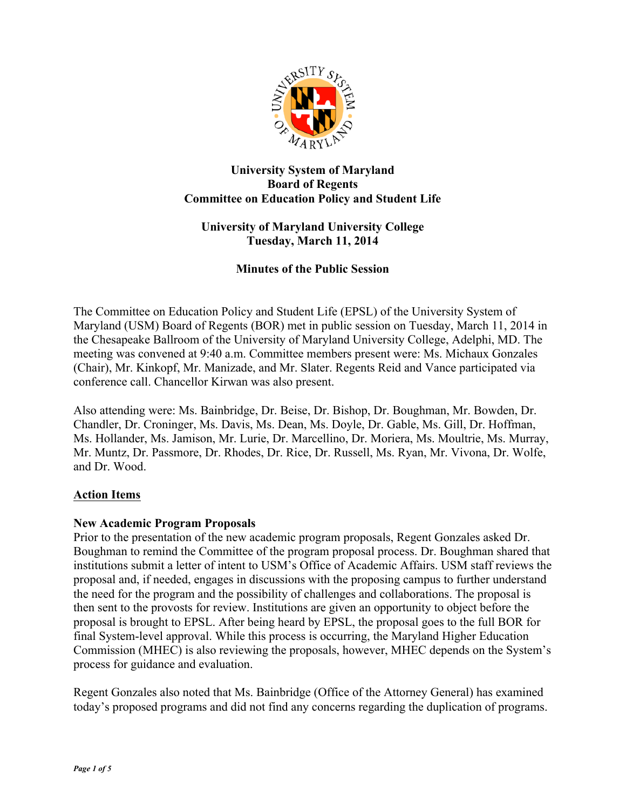

# **University System of Maryland Board of Regents Committee on Education Policy and Student Life**

# **University of Maryland University College Tuesday, March 11, 2014**

# **Minutes of the Public Session**

The Committee on Education Policy and Student Life (EPSL) of the University System of Maryland (USM) Board of Regents (BOR) met in public session on Tuesday, March 11, 2014 in the Chesapeake Ballroom of the University of Maryland University College, Adelphi, MD. The meeting was convened at 9:40 a.m. Committee members present were: Ms. Michaux Gonzales (Chair), Mr. Kinkopf, Mr. Manizade, and Mr. Slater. Regents Reid and Vance participated via conference call. Chancellor Kirwan was also present.

Also attending were: Ms. Bainbridge, Dr. Beise, Dr. Bishop, Dr. Boughman, Mr. Bowden, Dr. Chandler, Dr. Croninger, Ms. Davis, Ms. Dean, Ms. Doyle, Dr. Gable, Ms. Gill, Dr. Hoffman, Ms. Hollander, Ms. Jamison, Mr. Lurie, Dr. Marcellino, Dr. Moriera, Ms. Moultrie, Ms. Murray, Mr. Muntz, Dr. Passmore, Dr. Rhodes, Dr. Rice, Dr. Russell, Ms. Ryan, Mr. Vivona, Dr. Wolfe, and Dr. Wood.

# **Action Items**

# **New Academic Program Proposals**

Prior to the presentation of the new academic program proposals, Regent Gonzales asked Dr. Boughman to remind the Committee of the program proposal process. Dr. Boughman shared that institutions submit a letter of intent to USM's Office of Academic Affairs. USM staff reviews the proposal and, if needed, engages in discussions with the proposing campus to further understand the need for the program and the possibility of challenges and collaborations. The proposal is then sent to the provosts for review. Institutions are given an opportunity to object before the proposal is brought to EPSL. After being heard by EPSL, the proposal goes to the full BOR for final System-level approval. While this process is occurring, the Maryland Higher Education Commission (MHEC) is also reviewing the proposals, however, MHEC depends on the System's process for guidance and evaluation.

Regent Gonzales also noted that Ms. Bainbridge (Office of the Attorney General) has examined today's proposed programs and did not find any concerns regarding the duplication of programs.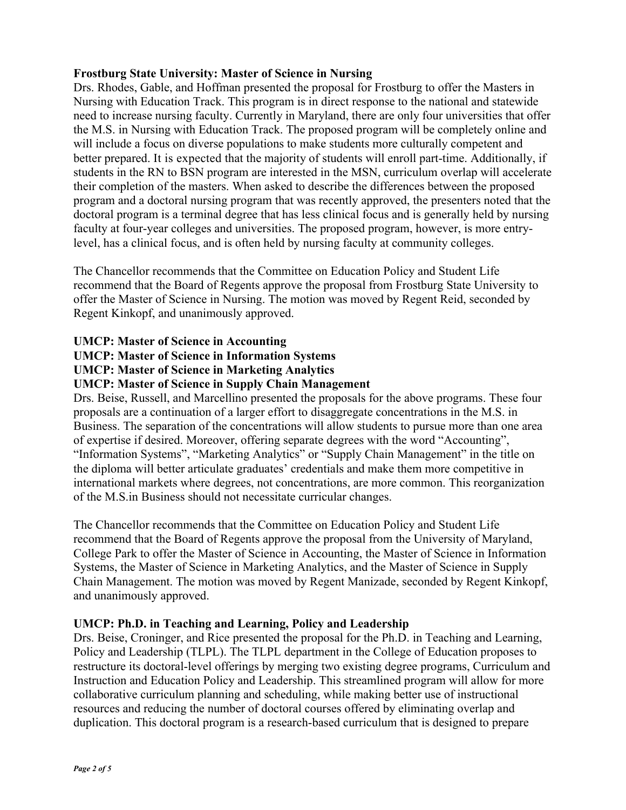#### **Frostburg State University: Master of Science in Nursing**

Drs. Rhodes, Gable, and Hoffman presented the proposal for Frostburg to offer the Masters in Nursing with Education Track. This program is in direct response to the national and statewide need to increase nursing faculty. Currently in Maryland, there are only four universities that offer the M.S. in Nursing with Education Track. The proposed program will be completely online and will include a focus on diverse populations to make students more culturally competent and better prepared. It is expected that the majority of students will enroll part-time. Additionally, if students in the RN to BSN program are interested in the MSN, curriculum overlap will accelerate their completion of the masters. When asked to describe the differences between the proposed program and a doctoral nursing program that was recently approved, the presenters noted that the doctoral program is a terminal degree that has less clinical focus and is generally held by nursing faculty at four-year colleges and universities. The proposed program, however, is more entrylevel, has a clinical focus, and is often held by nursing faculty at community colleges.

The Chancellor recommends that the Committee on Education Policy and Student Life recommend that the Board of Regents approve the proposal from Frostburg State University to offer the Master of Science in Nursing. The motion was moved by Regent Reid, seconded by Regent Kinkopf, and unanimously approved.

#### **UMCP: Master of Science in Accounting**

# **UMCP: Master of Science in Information Systems**

**UMCP: Master of Science in Marketing Analytics**

#### **UMCP: Master of Science in Supply Chain Management**

Drs. Beise, Russell, and Marcellino presented the proposals for the above programs. These four proposals are a continuation of a larger effort to disaggregate concentrations in the M.S. in Business. The separation of the concentrations will allow students to pursue more than one area of expertise if desired. Moreover, offering separate degrees with the word "Accounting", "Information Systems", "Marketing Analytics" or "Supply Chain Management" in the title on the diploma will better articulate graduates' credentials and make them more competitive in international markets where degrees, not concentrations, are more common. This reorganization of the M.S.in Business should not necessitate curricular changes.

The Chancellor recommends that the Committee on Education Policy and Student Life recommend that the Board of Regents approve the proposal from the University of Maryland, College Park to offer the Master of Science in Accounting, the Master of Science in Information Systems, the Master of Science in Marketing Analytics, and the Master of Science in Supply Chain Management. The motion was moved by Regent Manizade, seconded by Regent Kinkopf, and unanimously approved.

# **UMCP: Ph.D. in Teaching and Learning, Policy and Leadership**

Drs. Beise, Croninger, and Rice presented the proposal for the Ph.D. in Teaching and Learning, Policy and Leadership (TLPL). The TLPL department in the College of Education proposes to restructure its doctoral-level offerings by merging two existing degree programs, Curriculum and Instruction and Education Policy and Leadership. This streamlined program will allow for more collaborative curriculum planning and scheduling, while making better use of instructional resources and reducing the number of doctoral courses offered by eliminating overlap and duplication. This doctoral program is a research-based curriculum that is designed to prepare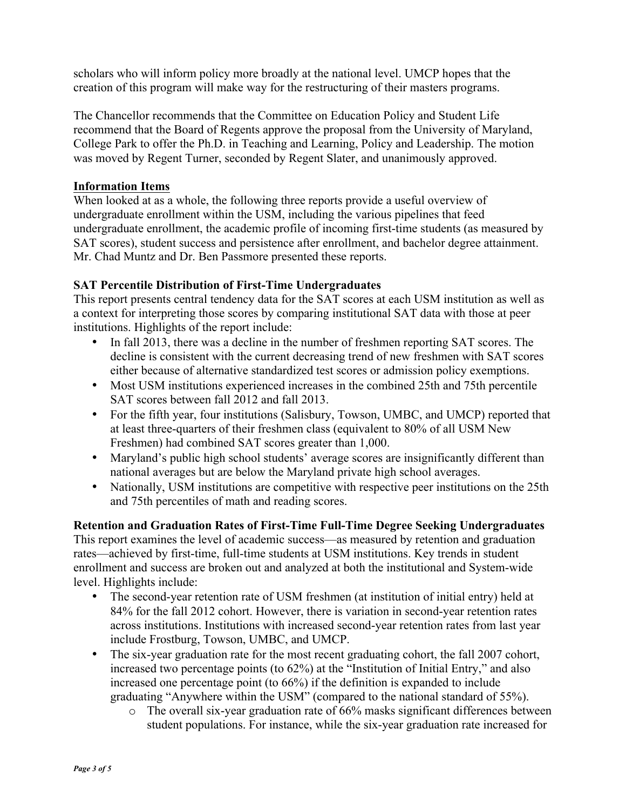scholars who will inform policy more broadly at the national level. UMCP hopes that the creation of this program will make way for the restructuring of their masters programs.

The Chancellor recommends that the Committee on Education Policy and Student Life recommend that the Board of Regents approve the proposal from the University of Maryland, College Park to offer the Ph.D. in Teaching and Learning, Policy and Leadership. The motion was moved by Regent Turner, seconded by Regent Slater, and unanimously approved.

#### **Information Items**

When looked at as a whole, the following three reports provide a useful overview of undergraduate enrollment within the USM, including the various pipelines that feed undergraduate enrollment, the academic profile of incoming first-time students (as measured by SAT scores), student success and persistence after enrollment, and bachelor degree attainment. Mr. Chad Muntz and Dr. Ben Passmore presented these reports.

# **SAT Percentile Distribution of First-Time Undergraduates**

This report presents central tendency data for the SAT scores at each USM institution as well as a context for interpreting those scores by comparing institutional SAT data with those at peer institutions. Highlights of the report include:

- In fall 2013, there was a decline in the number of freshmen reporting SAT scores. The decline is consistent with the current decreasing trend of new freshmen with SAT scores either because of alternative standardized test scores or admission policy exemptions.
- Most USM institutions experienced increases in the combined 25th and 75th percentile SAT scores between fall 2012 and fall 2013.
- For the fifth year, four institutions (Salisbury, Towson, UMBC, and UMCP) reported that at least three-quarters of their freshmen class (equivalent to 80% of all USM New Freshmen) had combined SAT scores greater than 1,000.
- Maryland's public high school students' average scores are insignificantly different than national averages but are below the Maryland private high school averages.
- Nationally, USM institutions are competitive with respective peer institutions on the 25th and 75th percentiles of math and reading scores.

**Retention and Graduation Rates of First-Time Full-Time Degree Seeking Undergraduates** This report examines the level of academic success—as measured by retention and graduation rates—achieved by first-time, full-time students at USM institutions. Key trends in student enrollment and success are broken out and analyzed at both the institutional and System-wide level. Highlights include:

- The second-year retention rate of USM freshmen (at institution of initial entry) held at 84% for the fall 2012 cohort. However, there is variation in second-year retention rates across institutions. Institutions with increased second-year retention rates from last year include Frostburg, Towson, UMBC, and UMCP.
- The six-year graduation rate for the most recent graduating cohort, the fall 2007 cohort, increased two percentage points (to 62%) at the "Institution of Initial Entry," and also increased one percentage point (to 66%) if the definition is expanded to include graduating "Anywhere within the USM" (compared to the national standard of 55%).
	- o The overall six-year graduation rate of 66% masks significant differences between student populations. For instance, while the six-year graduation rate increased for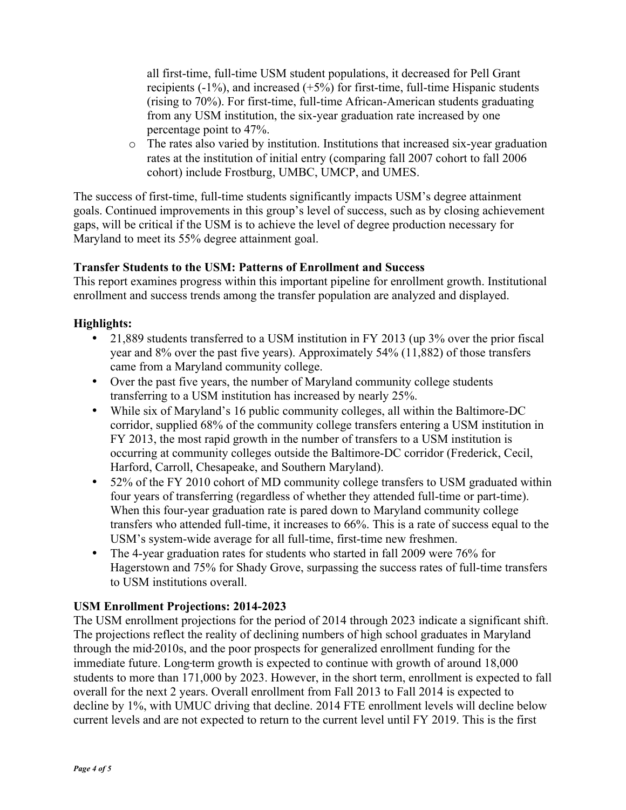all first-time, full-time USM student populations, it decreased for Pell Grant recipients  $(-1\%)$ , and increased  $(+5\%)$  for first-time, full-time Hispanic students (rising to 70%). For first-time, full-time African-American students graduating from any USM institution, the six-year graduation rate increased by one percentage point to 47%.

o The rates also varied by institution. Institutions that increased six-year graduation rates at the institution of initial entry (comparing fall 2007 cohort to fall 2006 cohort) include Frostburg, UMBC, UMCP, and UMES.

The success of first-time, full-time students significantly impacts USM's degree attainment goals. Continued improvements in this group's level of success, such as by closing achievement gaps, will be critical if the USM is to achieve the level of degree production necessary for Maryland to meet its 55% degree attainment goal.

# **Transfer Students to the USM: Patterns of Enrollment and Success**

This report examines progress within this important pipeline for enrollment growth. Institutional enrollment and success trends among the transfer population are analyzed and displayed.

# **Highlights:**

- 21,889 students transferred to a USM institution in FY 2013 (up 3% over the prior fiscal year and 8% over the past five years). Approximately 54% (11,882) of those transfers came from a Maryland community college.
- Over the past five years, the number of Maryland community college students transferring to a USM institution has increased by nearly 25%.
- While six of Maryland's 16 public community colleges, all within the Baltimore-DC corridor, supplied 68% of the community college transfers entering a USM institution in FY 2013, the most rapid growth in the number of transfers to a USM institution is occurring at community colleges outside the Baltimore-DC corridor (Frederick, Cecil, Harford, Carroll, Chesapeake, and Southern Maryland).
- 52% of the FY 2010 cohort of MD community college transfers to USM graduated within four years of transferring (regardless of whether they attended full-time or part-time). When this four-year graduation rate is pared down to Maryland community college transfers who attended full-time, it increases to 66%. This is a rate of success equal to the USM's system-wide average for all full-time, first-time new freshmen.
- The 4-year graduation rates for students who started in fall 2009 were 76% for Hagerstown and 75% for Shady Grove, surpassing the success rates of full-time transfers to USM institutions overall.

# **USM Enrollment Projections: 2014-2023**

The USM enrollment projections for the period of 2014 through 2023 indicate a significant shift. The projections reflect the reality of declining numbers of high school graduates in Maryland through the mid‐2010s, and the poor prospects for generalized enrollment funding for the immediate future. Long-term growth is expected to continue with growth of around 18,000 students to more than 171,000 by 2023. However, in the short term, enrollment is expected to fall overall for the next 2 years. Overall enrollment from Fall 2013 to Fall 2014 is expected to decline by 1%, with UMUC driving that decline. 2014 FTE enrollment levels will decline below current levels and are not expected to return to the current level until FY 2019. This is the first